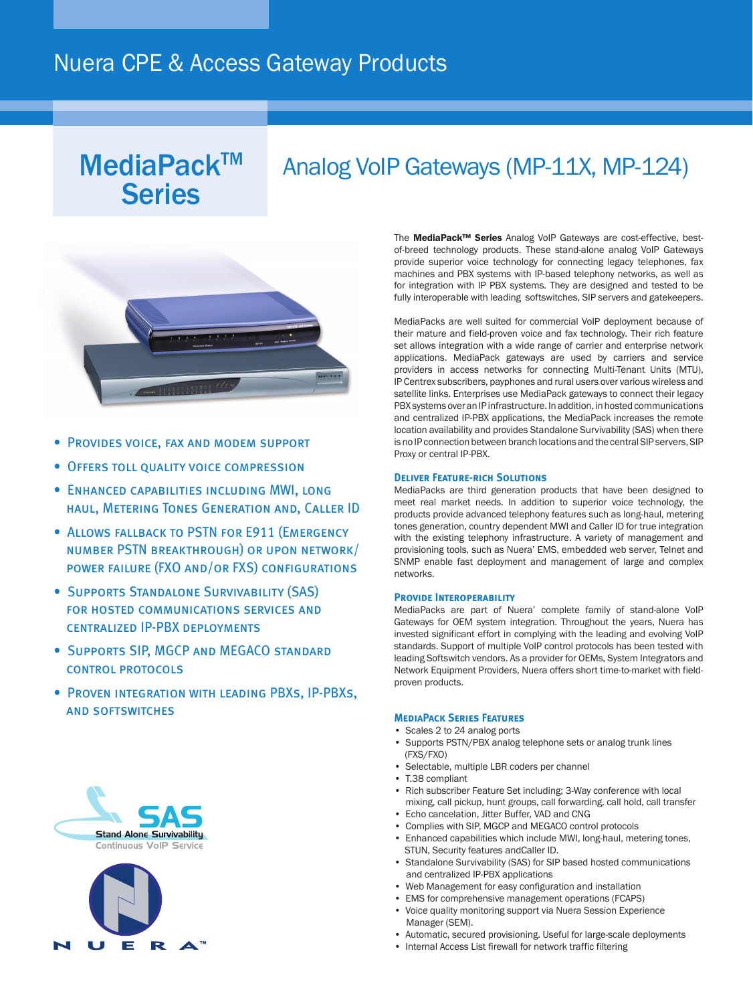## Nuera CPE & Access Gateway Products

# **Series**

## $MediaPack^{TM}$  Analog VoIP Gateways (MP-11X, MP-124)



- Provides voice, fax and modem support
- Offers toll quality voice compression
- Enhanced capabilities including MWI, long haul, Metering Tones Generation and, Caller ID
- ALLOWS FALLBACK TO PSTN FOR E911 (EMERGENCY number PSTN breakthrough) or upon network/ power failure (FXO and/or FXS) configurations
- Supports Standalone Survivability (SAS) for hosted communications services and centralized IP-PBX deployments
- Supports SIP, MGCP and MEGACO standard control protocols
- Proven integration with leading PBXs, IP-PBXs, and softswitches





The MediaPack™ Series Analog VoIP Gateways are cost-effective, bestof-breed technology products. These stand-alone analog VoIP Gateways provide superior voice technology for connecting legacy telephones, fax machines and PBX systems with IP-based telephony networks, as well as for integration with IP PBX systems. They are designed and tested to be fully interoperable with leading softswitches, SIP servers and gatekeepers.

MediaPacks are well suited for commercial VoIP deployment because of their mature and field-proven voice and fax technology. Their rich feature set allows integration with a wide range of carrier and enterprise network applications. MediaPack gateways are used by carriers and service providers in access networks for connecting Multi-Tenant Units (MTU), IP Centrex subscribers, payphones and rural users over various wireless and satellite links. Enterprises use MediaPack gateways to connect their legacy PBX systems over an IP infrastructure. In addition, in hosted communications and centralized IP-PBX applications, the MediaPack increases the remote location availability and provides Standalone Survivability (SAS) when there is no IP connection between branch locations and the central SIP servers, SIP Proxy or central IP-PBX.

## **Deliver Feature-rich Solutions**

MediaPacks are third generation products that have been designed to meet real market needs. In addition to superior voice technology, the products provide advanced telephony features such as long-haul, metering tones generation, country dependent MWI and Caller ID for true integration with the existing telephony infrastructure. A variety of management and provisioning tools, such as Nuera' EMS, embedded web server, Telnet and SNMP enable fast deployment and management of large and complex networks.

### **Provide Interoperability**

MediaPacks are part of Nuera' complete family of stand-alone VoIP Gateways for OEM system integration. Throughout the years, Nuera has invested significant effort in complying with the leading and evolving VoIP standards. Support of multiple VoIP control protocols has been tested with leading Softswitch vendors. As a provider for OEMs, System Integrators and Network Equipment Providers, Nuera offers short time-to-market with fieldproven products.

## **MediaPack Series Features**

- Scales 2 to 24 analog ports
- Supports PSTN/PBX analog telephone sets or analog trunk lines (FXS/FXO)
- Selectable, multiple LBR coders per channel
- T.38 compliant
- Rich subscriber Feature Set including; 3-Way conference with local mixing, call pickup, hunt groups, call forwarding, call hold, call transfer
- Echo cancelation, Jitter Buffer, VAD and CNG
- Complies with SIP, MGCP and MEGACO control protocols
- Enhanced capabilities which include MWI, long-haul, metering tones, STUN, Security features andCaller ID.
- Standalone Survivability (SAS) for SIP based hosted communications and centralized IP-PBX applications
- Web Management for easy configuration and installation
- EMS for comprehensive management operations (FCAPS)
- Voice quality monitoring support via Nuera Session Experience Manager (SEM).
- Automatic, secured provisioning. Useful for large-scale deployments
- Internal Access List firewall for network traffic filtering